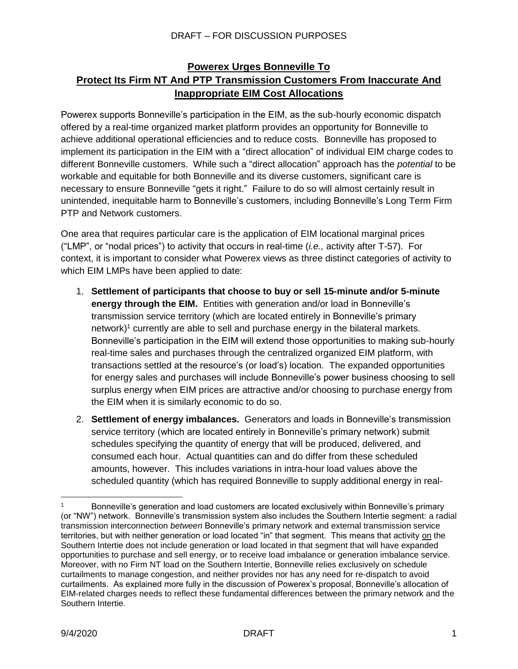## **Powerex Urges Bonneville To Protect Its Firm NT And PTP Transmission Customers From Inaccurate And Inappropriate EIM Cost Allocations**

Powerex supports Bonneville's participation in the EIM, as the sub-hourly economic dispatch offered by a real-time organized market platform provides an opportunity for Bonneville to achieve additional operational efficiencies and to reduce costs. Bonneville has proposed to implement its participation in the EIM with a "direct allocation" of individual EIM charge codes to different Bonneville customers. While such a "direct allocation" approach has the *potential* to be workable and equitable for both Bonneville and its diverse customers, significant care is necessary to ensure Bonneville "gets it right." Failure to do so will almost certainly result in unintended, inequitable harm to Bonneville's customers, including Bonneville's Long Term Firm PTP and Network customers.

One area that requires particular care is the application of EIM locational marginal prices ("LMP", or "nodal prices") to activity that occurs in real-time (*i.e.,* activity after T-57). For context, it is important to consider what Powerex views as three distinct categories of activity to which EIM LMPs have been applied to date:

- 1. **Settlement of participants that choose to buy or sell 15-minute and/or 5-minute energy through the EIM.** Entities with generation and/or load in Bonneville's transmission service territory (which are located entirely in Bonneville's primary network) <sup>1</sup> currently are able to sell and purchase energy in the bilateral markets. Bonneville's participation in the EIM will extend those opportunities to making sub-hourly real-time sales and purchases through the centralized organized EIM platform, with transactions settled at the resource's (or load's) location. The expanded opportunities for energy sales and purchases will include Bonneville's power business choosing to sell surplus energy when EIM prices are attractive and/or choosing to purchase energy from the EIM when it is similarly economic to do so.
- 2. **Settlement of energy imbalances.** Generators and loads in Bonneville's transmission service territory (which are located entirely in Bonneville's primary network) submit schedules specifying the quantity of energy that will be produced, delivered, and consumed each hour. Actual quantities can and do differ from these scheduled amounts, however. This includes variations in intra-hour load values above the scheduled quantity (which has required Bonneville to supply additional energy in real-

 $\overline{a}$ 

Bonneville's generation and load customers are located exclusively within Bonneville's primary (or "NW") network. Bonneville's transmission system also includes the Southern Intertie segment: a radial transmission interconnection *between* Bonneville's primary network and external transmission service territories, but with neither generation or load located "in" that segment. This means that activity on the Southern Intertie does not include generation or load located in that segment that will have expanded opportunities to purchase and sell energy, or to receive load imbalance or generation imbalance service. Moreover, with no Firm NT load on the Southern Intertie, Bonneville relies exclusively on schedule curtailments to manage congestion, and neither provides nor has any need for re-dispatch to avoid curtailments. As explained more fully in the discussion of Powerex's proposal, Bonneville's allocation of EIM-related charges needs to reflect these fundamental differences between the primary network and the Southern Intertie.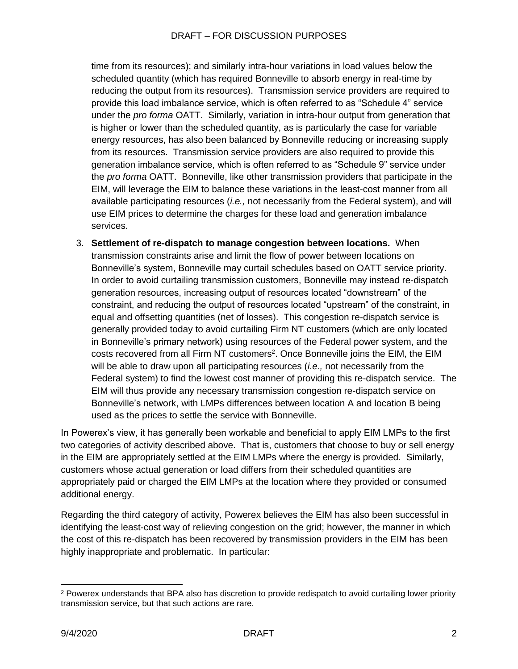time from its resources); and similarly intra-hour variations in load values below the scheduled quantity (which has required Bonneville to absorb energy in real-time by reducing the output from its resources). Transmission service providers are required to provide this load imbalance service, which is often referred to as "Schedule 4" service under the *pro forma* OATT. Similarly, variation in intra-hour output from generation that is higher or lower than the scheduled quantity, as is particularly the case for variable energy resources, has also been balanced by Bonneville reducing or increasing supply from its resources. Transmission service providers are also required to provide this generation imbalance service, which is often referred to as "Schedule 9" service under the *pro forma* OATT. Bonneville, like other transmission providers that participate in the EIM, will leverage the EIM to balance these variations in the least-cost manner from all available participating resources (*i.e.,* not necessarily from the Federal system), and will use EIM prices to determine the charges for these load and generation imbalance services.

3. **Settlement of re-dispatch to manage congestion between locations.** When transmission constraints arise and limit the flow of power between locations on Bonneville's system, Bonneville may curtail schedules based on OATT service priority. In order to avoid curtailing transmission customers, Bonneville may instead re-dispatch generation resources, increasing output of resources located "downstream" of the constraint, and reducing the output of resources located "upstream" of the constraint, in equal and offsetting quantities (net of losses). This congestion re-dispatch service is generally provided today to avoid curtailing Firm NT customers (which are only located in Bonneville's primary network) using resources of the Federal power system, and the costs recovered from all Firm NT customers<sup>2</sup>. Once Bonneville joins the EIM, the EIM will be able to draw upon all participating resources (*i.e.,* not necessarily from the Federal system) to find the lowest cost manner of providing this re-dispatch service. The EIM will thus provide any necessary transmission congestion re-dispatch service on Bonneville's network, with LMPs differences between location A and location B being used as the prices to settle the service with Bonneville.

In Powerex's view, it has generally been workable and beneficial to apply EIM LMPs to the first two categories of activity described above. That is, customers that choose to buy or sell energy in the EIM are appropriately settled at the EIM LMPs where the energy is provided. Similarly, customers whose actual generation or load differs from their scheduled quantities are appropriately paid or charged the EIM LMPs at the location where they provided or consumed additional energy.

Regarding the third category of activity, Powerex believes the EIM has also been successful in identifying the least-cost way of relieving congestion on the grid; however, the manner in which the cost of this re-dispatch has been recovered by transmission providers in the EIM has been highly inappropriate and problematic. In particular:

<sup>2</sup> Powerex understands that BPA also has discretion to provide redispatch to avoid curtailing lower priority transmission service, but that such actions are rare.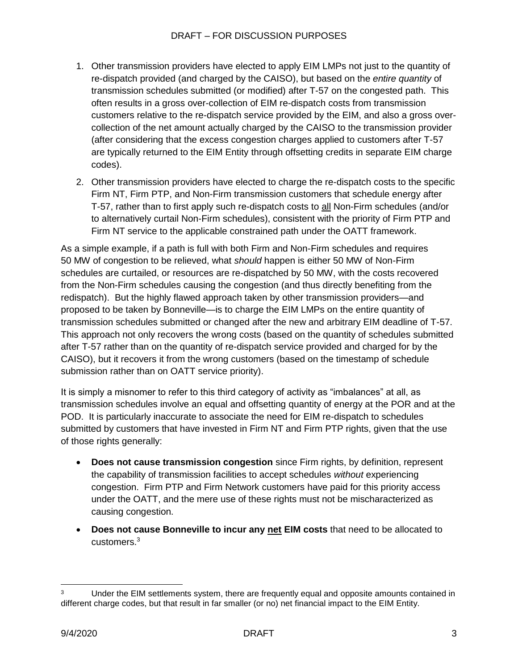- 1. Other transmission providers have elected to apply EIM LMPs not just to the quantity of re-dispatch provided (and charged by the CAISO), but based on the *entire quantity* of transmission schedules submitted (or modified) after T-57 on the congested path. This often results in a gross over-collection of EIM re-dispatch costs from transmission customers relative to the re-dispatch service provided by the EIM, and also a gross overcollection of the net amount actually charged by the CAISO to the transmission provider (after considering that the excess congestion charges applied to customers after T-57 are typically returned to the EIM Entity through offsetting credits in separate EIM charge codes).
- 2. Other transmission providers have elected to charge the re-dispatch costs to the specific Firm NT, Firm PTP, and Non-Firm transmission customers that schedule energy after T-57, rather than to first apply such re-dispatch costs to all Non-Firm schedules (and/or to alternatively curtail Non-Firm schedules), consistent with the priority of Firm PTP and Firm NT service to the applicable constrained path under the OATT framework.

As a simple example, if a path is full with both Firm and Non-Firm schedules and requires 50 MW of congestion to be relieved, what *should* happen is either 50 MW of Non-Firm schedules are curtailed, or resources are re-dispatched by 50 MW, with the costs recovered from the Non-Firm schedules causing the congestion (and thus directly benefiting from the redispatch). But the highly flawed approach taken by other transmission providers—and proposed to be taken by Bonneville—is to charge the EIM LMPs on the entire quantity of transmission schedules submitted or changed after the new and arbitrary EIM deadline of T-57. This approach not only recovers the wrong costs (based on the quantity of schedules submitted after T-57 rather than on the quantity of re-dispatch service provided and charged for by the CAISO), but it recovers it from the wrong customers (based on the timestamp of schedule submission rather than on OATT service priority).

It is simply a misnomer to refer to this third category of activity as "imbalances" at all, as transmission schedules involve an equal and offsetting quantity of energy at the POR and at the POD. It is particularly inaccurate to associate the need for EIM re-dispatch to schedules submitted by customers that have invested in Firm NT and Firm PTP rights, given that the use of those rights generally:

- **Does not cause transmission congestion** since Firm rights, by definition, represent the capability of transmission facilities to accept schedules *without* experiencing congestion. Firm PTP and Firm Network customers have paid for this priority access under the OATT, and the mere use of these rights must not be mischaracterized as causing congestion.
- **Does not cause Bonneville to incur any net EIM costs** that need to be allocated to customers.<sup>3</sup>

<sup>&</sup>lt;sup>3</sup> Under the EIM settlements system, there are frequently equal and opposite amounts contained in different charge codes, but that result in far smaller (or no) net financial impact to the EIM Entity.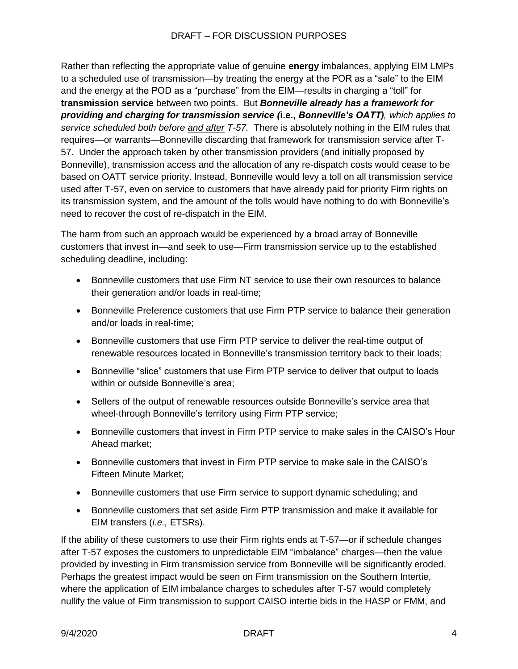Rather than reflecting the appropriate value of genuine **energy** imbalances, applying EIM LMPs to a scheduled use of transmission—by treating the energy at the POR as a "sale" to the EIM and the energy at the POD as a "purchase" from the EIM—results in charging a "toll" for **transmission service** between two points. But *Bonneville already has a framework for providing and charging for transmission service (***i.e.,** *Bonneville's OATT), which applies to service scheduled both before and after T-57.* There is absolutely nothing in the EIM rules that requires—or warrants—Bonneville discarding that framework for transmission service after T-57. Under the approach taken by other transmission providers (and initially proposed by Bonneville), transmission access and the allocation of any re-dispatch costs would cease to be based on OATT service priority. Instead, Bonneville would levy a toll on all transmission service used after T-57, even on service to customers that have already paid for priority Firm rights on its transmission system, and the amount of the tolls would have nothing to do with Bonneville's need to recover the cost of re-dispatch in the EIM.

The harm from such an approach would be experienced by a broad array of Bonneville customers that invest in—and seek to use—Firm transmission service up to the established scheduling deadline, including:

- Bonneville customers that use Firm NT service to use their own resources to balance their generation and/or loads in real-time;
- Bonneville Preference customers that use Firm PTP service to balance their generation and/or loads in real-time;
- Bonneville customers that use Firm PTP service to deliver the real-time output of renewable resources located in Bonneville's transmission territory back to their loads;
- Bonneville "slice" customers that use Firm PTP service to deliver that output to loads within or outside Bonneville's area:
- Sellers of the output of renewable resources outside Bonneville's service area that wheel-through Bonneville's territory using Firm PTP service;
- Bonneville customers that invest in Firm PTP service to make sales in the CAISO's Hour Ahead market;
- Bonneville customers that invest in Firm PTP service to make sale in the CAISO's Fifteen Minute Market;
- Bonneville customers that use Firm service to support dynamic scheduling; and
- Bonneville customers that set aside Firm PTP transmission and make it available for EIM transfers (*i.e.,* ETSRs).

If the ability of these customers to use their Firm rights ends at T-57—or if schedule changes after T-57 exposes the customers to unpredictable EIM "imbalance" charges—then the value provided by investing in Firm transmission service from Bonneville will be significantly eroded. Perhaps the greatest impact would be seen on Firm transmission on the Southern Intertie, where the application of EIM imbalance charges to schedules after T-57 would completely nullify the value of Firm transmission to support CAISO intertie bids in the HASP or FMM, and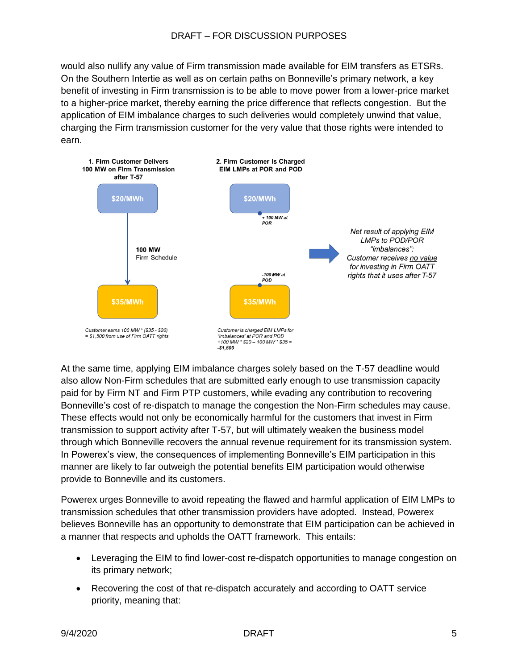would also nullify any value of Firm transmission made available for EIM transfers as ETSRs. On the Southern Intertie as well as on certain paths on Bonneville's primary network, a key benefit of investing in Firm transmission is to be able to move power from a lower-price market to a higher-price market, thereby earning the price difference that reflects congestion. But the application of EIM imbalance charges to such deliveries would completely unwind that value, charging the Firm transmission customer for the very value that those rights were intended to earn.



At the same time, applying EIM imbalance charges solely based on the T-57 deadline would also allow Non-Firm schedules that are submitted early enough to use transmission capacity paid for by Firm NT and Firm PTP customers, while evading any contribution to recovering Bonneville's cost of re-dispatch to manage the congestion the Non-Firm schedules may cause. These effects would not only be economically harmful for the customers that invest in Firm transmission to support activity after T-57, but will ultimately weaken the business model through which Bonneville recovers the annual revenue requirement for its transmission system. In Powerex's view, the consequences of implementing Bonneville's EIM participation in this manner are likely to far outweigh the potential benefits EIM participation would otherwise provide to Bonneville and its customers.

Powerex urges Bonneville to avoid repeating the flawed and harmful application of EIM LMPs to transmission schedules that other transmission providers have adopted. Instead, Powerex believes Bonneville has an opportunity to demonstrate that EIM participation can be achieved in a manner that respects and upholds the OATT framework. This entails:

- Leveraging the EIM to find lower-cost re-dispatch opportunities to manage congestion on its primary network;
- Recovering the cost of that re-dispatch accurately and according to OATT service priority, meaning that: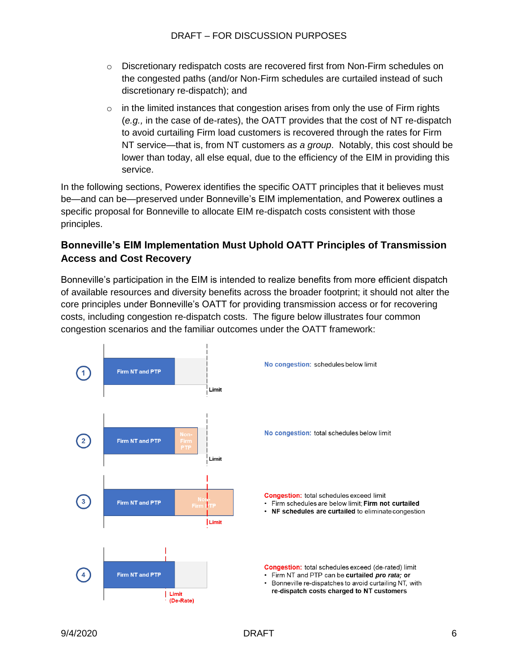- o Discretionary redispatch costs are recovered first from Non-Firm schedules on the congested paths (and/or Non-Firm schedules are curtailed instead of such discretionary re-dispatch); and
- $\circ$  in the limited instances that congestion arises from only the use of Firm rights (*e.g.,* in the case of de-rates), the OATT provides that the cost of NT re-dispatch to avoid curtailing Firm load customers is recovered through the rates for Firm NT service—that is, from NT customers *as a group*. Notably, this cost should be lower than today, all else equal, due to the efficiency of the EIM in providing this service.

In the following sections, Powerex identifies the specific OATT principles that it believes must be—and can be—preserved under Bonneville's EIM implementation, and Powerex outlines a specific proposal for Bonneville to allocate EIM re-dispatch costs consistent with those principles.

## **Bonneville's EIM Implementation Must Uphold OATT Principles of Transmission Access and Cost Recovery**

Bonneville's participation in the EIM is intended to realize benefits from more efficient dispatch of available resources and diversity benefits across the broader footprint; it should not alter the core principles under Bonneville's OATT for providing transmission access or for recovering costs, including congestion re-dispatch costs. The figure below illustrates four common congestion scenarios and the familiar outcomes under the OATT framework:

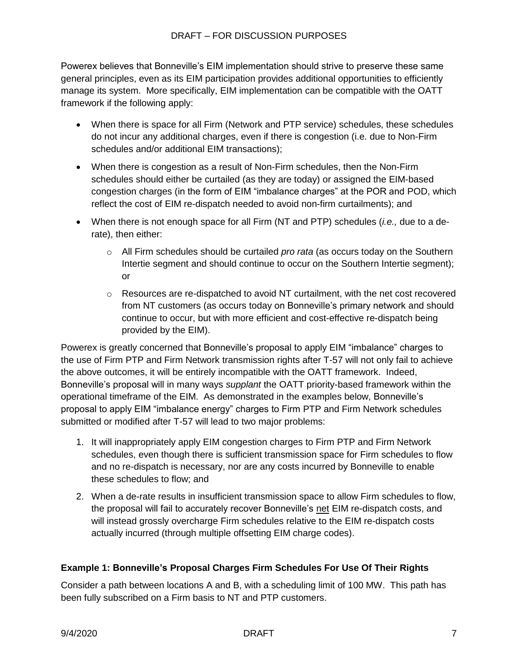Powerex believes that Bonneville's EIM implementation should strive to preserve these same general principles, even as its EIM participation provides additional opportunities to efficiently manage its system. More specifically, EIM implementation can be compatible with the OATT framework if the following apply:

- When there is space for all Firm (Network and PTP service) schedules, these schedules do not incur any additional charges, even if there is congestion (i.e. due to Non-Firm schedules and/or additional EIM transactions);
- When there is congestion as a result of Non-Firm schedules, then the Non-Firm schedules should either be curtailed (as they are today) or assigned the EIM-based congestion charges (in the form of EIM "imbalance charges" at the POR and POD, which reflect the cost of EIM re-dispatch needed to avoid non-firm curtailments); and
- When there is not enough space for all Firm (NT and PTP) schedules (*i.e.,* due to a derate), then either:
	- o All Firm schedules should be curtailed *pro rata* (as occurs today on the Southern Intertie segment and should continue to occur on the Southern Intertie segment); or
	- $\circ$  Resources are re-dispatched to avoid NT curtailment, with the net cost recovered from NT customers (as occurs today on Bonneville's primary network and should continue to occur, but with more efficient and cost-effective re-dispatch being provided by the EIM).

Powerex is greatly concerned that Bonneville's proposal to apply EIM "imbalance" charges to the use of Firm PTP and Firm Network transmission rights after T-57 will not only fail to achieve the above outcomes, it will be entirely incompatible with the OATT framework. Indeed, Bonneville's proposal will in many ways *supplant* the OATT priority-based framework within the operational timeframe of the EIM. As demonstrated in the examples below, Bonneville's proposal to apply EIM "imbalance energy" charges to Firm PTP and Firm Network schedules submitted or modified after T-57 will lead to two major problems:

- 1. It will inappropriately apply EIM congestion charges to Firm PTP and Firm Network schedules, even though there is sufficient transmission space for Firm schedules to flow and no re-dispatch is necessary, nor are any costs incurred by Bonneville to enable these schedules to flow; and
- 2. When a de-rate results in insufficient transmission space to allow Firm schedules to flow, the proposal will fail to accurately recover Bonneville's net EIM re-dispatch costs, and will instead grossly overcharge Firm schedules relative to the EIM re-dispatch costs actually incurred (through multiple offsetting EIM charge codes).

## **Example 1: Bonneville's Proposal Charges Firm Schedules For Use Of Their Rights**

Consider a path between locations A and B, with a scheduling limit of 100 MW. This path has been fully subscribed on a Firm basis to NT and PTP customers.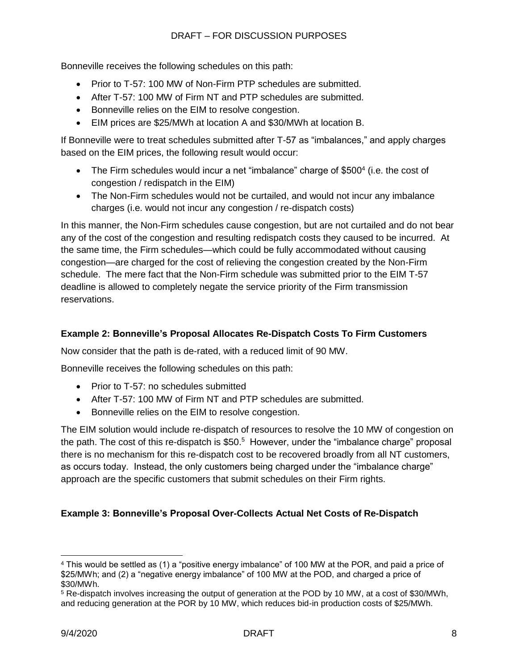Bonneville receives the following schedules on this path:

- Prior to T-57: 100 MW of Non-Firm PTP schedules are submitted.
- After T-57: 100 MW of Firm NT and PTP schedules are submitted.
- Bonneville relies on the EIM to resolve congestion.
- EIM prices are \$25/MWh at location A and \$30/MWh at location B.

If Bonneville were to treat schedules submitted after T-57 as "imbalances," and apply charges based on the EIM prices, the following result would occur:

- The Firm schedules would incur a net "imbalance" charge of \$500 $4$  (i.e. the cost of congestion / redispatch in the EIM)
- The Non-Firm schedules would not be curtailed, and would not incur any imbalance charges (i.e. would not incur any congestion / re-dispatch costs)

In this manner, the Non-Firm schedules cause congestion, but are not curtailed and do not bear any of the cost of the congestion and resulting redispatch costs they caused to be incurred. At the same time, the Firm schedules—which could be fully accommodated without causing congestion—are charged for the cost of relieving the congestion created by the Non-Firm schedule. The mere fact that the Non-Firm schedule was submitted prior to the EIM T-57 deadline is allowed to completely negate the service priority of the Firm transmission reservations.

### **Example 2: Bonneville's Proposal Allocates Re-Dispatch Costs To Firm Customers**

Now consider that the path is de-rated, with a reduced limit of 90 MW.

Bonneville receives the following schedules on this path:

- Prior to T-57: no schedules submitted
- After T-57: 100 MW of Firm NT and PTP schedules are submitted.
- Bonneville relies on the EIM to resolve congestion.

The EIM solution would include re-dispatch of resources to resolve the 10 MW of congestion on the path. The cost of this re-dispatch is  $$50.<sup>5</sup>$  However, under the "imbalance charge" proposal there is no mechanism for this re-dispatch cost to be recovered broadly from all NT customers, as occurs today. Instead, the only customers being charged under the "imbalance charge" approach are the specific customers that submit schedules on their Firm rights.

#### **Example 3: Bonneville's Proposal Over-Collects Actual Net Costs of Re-Dispatch**

<sup>4</sup> This would be settled as (1) a "positive energy imbalance" of 100 MW at the POR, and paid a price of \$25/MWh; and (2) a "negative energy imbalance" of 100 MW at the POD, and charged a price of \$30/MWh.

<sup>5</sup> Re-dispatch involves increasing the output of generation at the POD by 10 MW, at a cost of \$30/MWh, and reducing generation at the POR by 10 MW, which reduces bid-in production costs of \$25/MWh.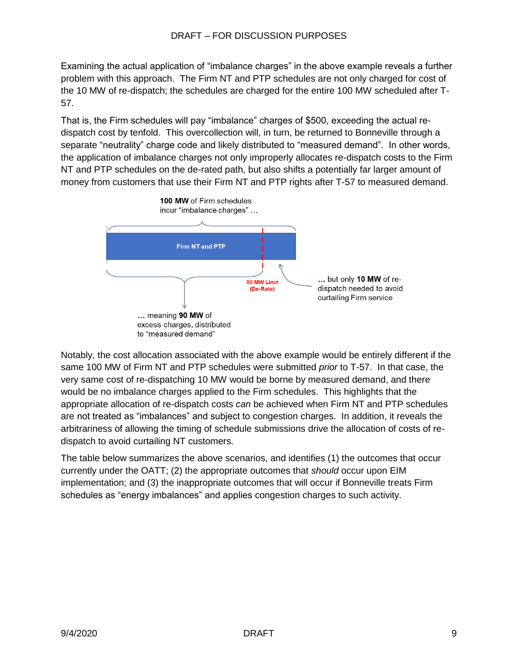Examining the actual application of "imbalance charges" in the above example reveals a further problem with this approach. The Firm NT and PTP schedules are not only charged for cost of the 10 MW of re-dispatch; the schedules are charged for the entire 100 MW scheduled after T-57.

That is, the Firm schedules will pay "imbalance" charges of \$500, exceeding the actual redispatch cost by tenfold. This overcollection will, in turn, be returned to Bonneville through a separate "neutrality" charge code and likely distributed to "measured demand". In other words, the application of imbalance charges not only improperly allocates re-dispatch costs to the Firm NT and PTP schedules on the de-rated path, but also shifts a potentially far larger amount of money from customers that use their Firm NT and PTP rights after T-57 to measured demand.



Notably, the cost allocation associated with the above example would be entirely different if the same 100 MW of Firm NT and PTP schedules were submitted *prior* to T-57. In that case, the very same cost of re-dispatching 10 MW would be borne by measured demand, and there would be no imbalance charges applied to the Firm schedules. This highlights that the appropriate allocation of re-dispatch costs *can* be achieved when Firm NT and PTP schedules are not treated as "imbalances" and subject to congestion charges. In addition, it reveals the arbitrariness of allowing the timing of schedule submissions drive the allocation of costs of redispatch to avoid curtailing NT customers.

The table below summarizes the above scenarios, and identifies (1) the outcomes that occur currently under the OATT; (2) the appropriate outcomes that *should* occur upon EIM implementation; and (3) the inappropriate outcomes that will occur if Bonneville treats Firm schedules as "energy imbalances" and applies congestion charges to such activity.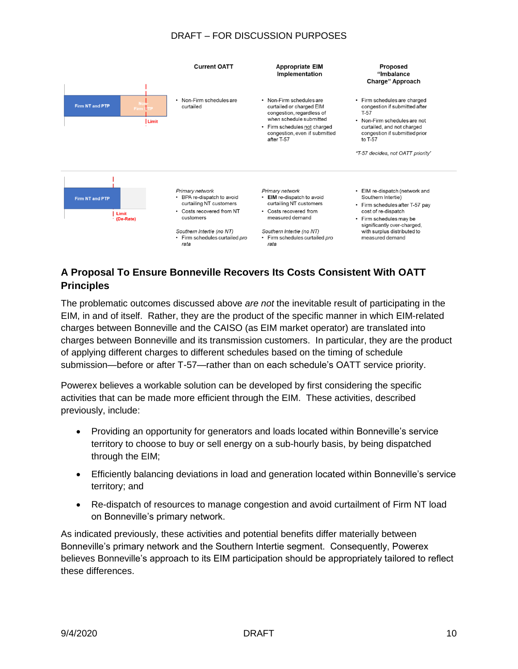#### DRAFT – FOR DISCUSSION PURPOSES



# **A Proposal To Ensure Bonneville Recovers Its Costs Consistent With OATT Principles**

The problematic outcomes discussed above *are not* the inevitable result of participating in the EIM, in and of itself. Rather, they are the product of the specific manner in which EIM-related charges between Bonneville and the CAISO (as EIM market operator) are translated into charges between Bonneville and its transmission customers. In particular, they are the product of applying different charges to different schedules based on the timing of schedule submission—before or after T-57—rather than on each schedule's OATT service priority.

Powerex believes a workable solution can be developed by first considering the specific activities that can be made more efficient through the EIM. These activities, described previously, include:

- Providing an opportunity for generators and loads located within Bonneville's service territory to choose to buy or sell energy on a sub-hourly basis, by being dispatched through the EIM;
- Efficiently balancing deviations in load and generation located within Bonneville's service territory; and
- Re-dispatch of resources to manage congestion and avoid curtailment of Firm NT load on Bonneville's primary network.

As indicated previously, these activities and potential benefits differ materially between Bonneville's primary network and the Southern Intertie segment. Consequently, Powerex believes Bonneville's approach to its EIM participation should be appropriately tailored to reflect these differences.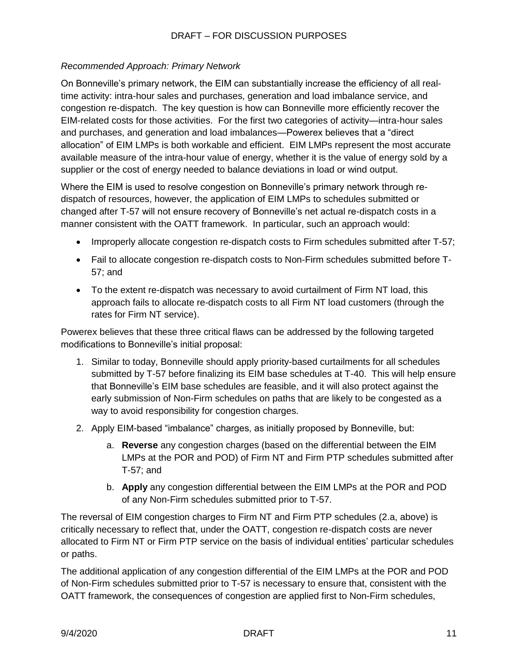#### *Recommended Approach: Primary Network*

On Bonneville's primary network, the EIM can substantially increase the efficiency of all realtime activity: intra-hour sales and purchases, generation and load imbalance service, and congestion re-dispatch. The key question is how can Bonneville more efficiently recover the EIM-related costs for those activities. For the first two categories of activity—intra-hour sales and purchases, and generation and load imbalances—Powerex believes that a "direct allocation" of EIM LMPs is both workable and efficient. EIM LMPs represent the most accurate available measure of the intra-hour value of energy, whether it is the value of energy sold by a supplier or the cost of energy needed to balance deviations in load or wind output.

Where the EIM is used to resolve congestion on Bonneville's primary network through redispatch of resources, however, the application of EIM LMPs to schedules submitted or changed after T-57 will not ensure recovery of Bonneville's net actual re-dispatch costs in a manner consistent with the OATT framework. In particular, such an approach would:

- Improperly allocate congestion re-dispatch costs to Firm schedules submitted after T-57;
- Fail to allocate congestion re-dispatch costs to Non-Firm schedules submitted before T-57; and
- To the extent re-dispatch was necessary to avoid curtailment of Firm NT load, this approach fails to allocate re-dispatch costs to all Firm NT load customers (through the rates for Firm NT service).

Powerex believes that these three critical flaws can be addressed by the following targeted modifications to Bonneville's initial proposal:

- 1. Similar to today, Bonneville should apply priority-based curtailments for all schedules submitted by T-57 before finalizing its EIM base schedules at T-40. This will help ensure that Bonneville's EIM base schedules are feasible, and it will also protect against the early submission of Non-Firm schedules on paths that are likely to be congested as a way to avoid responsibility for congestion charges.
- 2. Apply EIM-based "imbalance" charges, as initially proposed by Bonneville, but:
	- a. **Reverse** any congestion charges (based on the differential between the EIM LMPs at the POR and POD) of Firm NT and Firm PTP schedules submitted after T-57; and
	- b. **Apply** any congestion differential between the EIM LMPs at the POR and POD of any Non-Firm schedules submitted prior to T-57.

The reversal of EIM congestion charges to Firm NT and Firm PTP schedules (2.a, above) is critically necessary to reflect that, under the OATT, congestion re-dispatch costs are never allocated to Firm NT or Firm PTP service on the basis of individual entities' particular schedules or paths.

The additional application of any congestion differential of the EIM LMPs at the POR and POD of Non-Firm schedules submitted prior to T-57 is necessary to ensure that, consistent with the OATT framework, the consequences of congestion are applied first to Non-Firm schedules,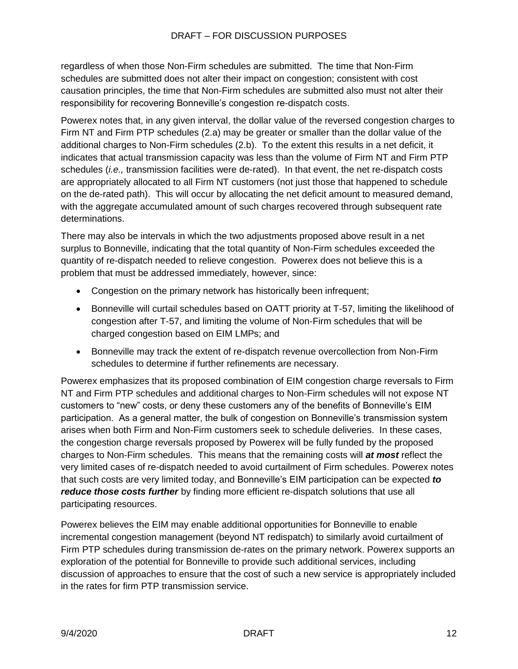regardless of when those Non-Firm schedules are submitted. The time that Non-Firm schedules are submitted does not alter their impact on congestion; consistent with cost causation principles, the time that Non-Firm schedules are submitted also must not alter their responsibility for recovering Bonneville's congestion re-dispatch costs.

Powerex notes that, in any given interval, the dollar value of the reversed congestion charges to Firm NT and Firm PTP schedules (2.a) may be greater or smaller than the dollar value of the additional charges to Non-Firm schedules (2.b). To the extent this results in a net deficit, it indicates that actual transmission capacity was less than the volume of Firm NT and Firm PTP schedules (*i.e.,* transmission facilities were de-rated). In that event, the net re-dispatch costs are appropriately allocated to all Firm NT customers (not just those that happened to schedule on the de-rated path). This will occur by allocating the net deficit amount to measured demand, with the aggregate accumulated amount of such charges recovered through subsequent rate determinations.

There may also be intervals in which the two adjustments proposed above result in a net surplus to Bonneville, indicating that the total quantity of Non-Firm schedules exceeded the quantity of re-dispatch needed to relieve congestion. Powerex does not believe this is a problem that must be addressed immediately, however, since:

- Congestion on the primary network has historically been infrequent;
- Bonneville will curtail schedules based on OATT priority at T-57, limiting the likelihood of congestion after T-57, and limiting the volume of Non-Firm schedules that will be charged congestion based on EIM LMPs; and
- Bonneville may track the extent of re-dispatch revenue overcollection from Non-Firm schedules to determine if further refinements are necessary.

Powerex emphasizes that its proposed combination of EIM congestion charge reversals to Firm NT and Firm PTP schedules and additional charges to Non-Firm schedules will not expose NT customers to "new" costs, or deny these customers any of the benefits of Bonneville's EIM participation. As a general matter, the bulk of congestion on Bonneville's transmission system arises when both Firm and Non-Firm customers seek to schedule deliveries. In these cases, the congestion charge reversals proposed by Powerex will be fully funded by the proposed charges to Non-Firm schedules. This means that the remaining costs will *at most* reflect the very limited cases of re-dispatch needed to avoid curtailment of Firm schedules. Powerex notes that such costs are very limited today, and Bonneville's EIM participation can be expected *to reduce those costs further* by finding more efficient re-dispatch solutions that use all participating resources.

Powerex believes the EIM may enable additional opportunities for Bonneville to enable incremental congestion management (beyond NT redispatch) to similarly avoid curtailment of Firm PTP schedules during transmission de-rates on the primary network. Powerex supports an exploration of the potential for Bonneville to provide such additional services, including discussion of approaches to ensure that the cost of such a new service is appropriately included in the rates for firm PTP transmission service.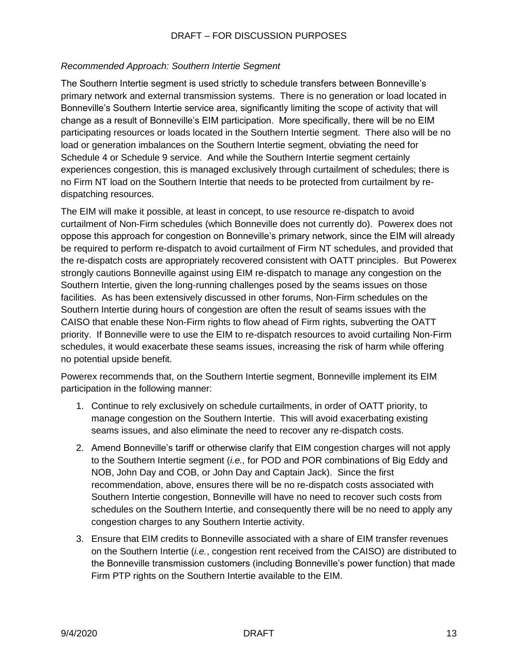#### *Recommended Approach: Southern Intertie Segment*

The Southern Intertie segment is used strictly to schedule transfers between Bonneville's primary network and external transmission systems. There is no generation or load located in Bonneville's Southern Intertie service area, significantly limiting the scope of activity that will change as a result of Bonneville's EIM participation. More specifically, there will be no EIM participating resources or loads located in the Southern Intertie segment. There also will be no load or generation imbalances on the Southern Intertie segment, obviating the need for Schedule 4 or Schedule 9 service. And while the Southern Intertie segment certainly experiences congestion, this is managed exclusively through curtailment of schedules; there is no Firm NT load on the Southern Intertie that needs to be protected from curtailment by redispatching resources.

The EIM will make it possible, at least in concept, to use resource re-dispatch to avoid curtailment of Non-Firm schedules (which Bonneville does not currently do). Powerex does not oppose this approach for congestion on Bonneville's primary network, since the EIM will already be required to perform re-dispatch to avoid curtailment of Firm NT schedules, and provided that the re-dispatch costs are appropriately recovered consistent with OATT principles. But Powerex strongly cautions Bonneville against using EIM re-dispatch to manage any congestion on the Southern Intertie, given the long-running challenges posed by the seams issues on those facilities. As has been extensively discussed in other forums, Non-Firm schedules on the Southern Intertie during hours of congestion are often the result of seams issues with the CAISO that enable these Non-Firm rights to flow ahead of Firm rights, subverting the OATT priority. If Bonneville were to use the EIM to re-dispatch resources to avoid curtailing Non-Firm schedules, it would exacerbate these seams issues, increasing the risk of harm while offering no potential upside benefit.

Powerex recommends that, on the Southern Intertie segment, Bonneville implement its EIM participation in the following manner:

- 1. Continue to rely exclusively on schedule curtailments, in order of OATT priority, to manage congestion on the Southern Intertie. This will avoid exacerbating existing seams issues, and also eliminate the need to recover any re-dispatch costs.
- 2. Amend Bonneville's tariff or otherwise clarify that EIM congestion charges will not apply to the Southern Intertie segment (*i.e.,* for POD and POR combinations of Big Eddy and NOB, John Day and COB, or John Day and Captain Jack). Since the first recommendation, above, ensures there will be no re-dispatch costs associated with Southern Intertie congestion, Bonneville will have no need to recover such costs from schedules on the Southern Intertie, and consequently there will be no need to apply any congestion charges to any Southern Intertie activity.
- 3. Ensure that EIM credits to Bonneville associated with a share of EIM transfer revenues on the Southern Intertie (*i.e.*, congestion rent received from the CAISO) are distributed to the Bonneville transmission customers (including Bonneville's power function) that made Firm PTP rights on the Southern Intertie available to the EIM.